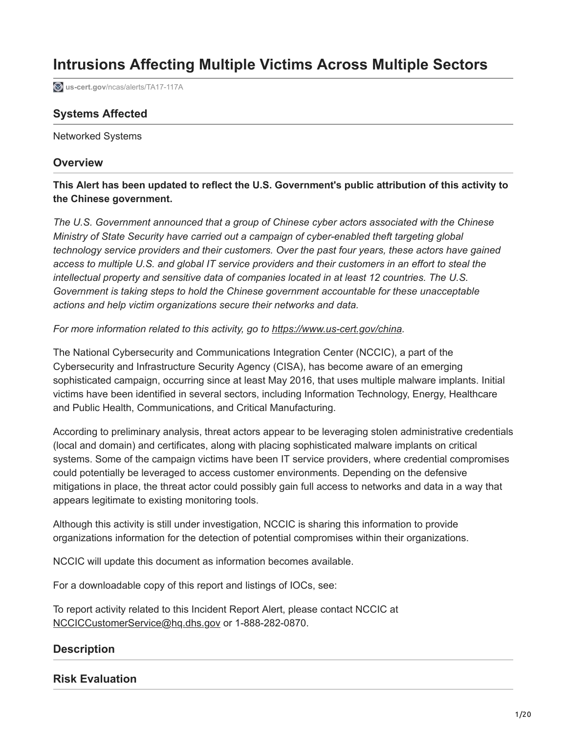# **Intrusions Affecting Multiple Victims Across Multiple Sectors**

**us-cert.gov**[/ncas/alerts/TA17-117A](https://www.us-cert.gov/ncas/alerts/TA17-117A)

# **Systems Affected**

Networked Systems

### **Overview**

**This Alert has been updated to reflect the U.S. Government's public attribution of this activity to the Chinese government.**

*The U.S. Government announced that a group of Chinese cyber actors associated with the Chinese Ministry of State Security have carried out a campaign of cyber-enabled theft targeting global technology service providers and their customers. Over the past four years, these actors have gained access to multiple U.S. and global IT service providers and their customers in an effort to steal the intellectual property and sensitive data of companies located in at least 12 countries. The U.S. Government is taking steps to hold the Chinese government accountable for these unacceptable actions and help victim organizations secure their networks and data.* 

### *For more information related to this activity, go to <https://www.us-cert.gov/china>.*

The National Cybersecurity and Communications Integration Center (NCCIC), a part of the Cybersecurity and Infrastructure Security Agency (CISA), has become aware of an emerging sophisticated campaign, occurring since at least May 2016, that uses multiple malware implants. Initial victims have been identified in several sectors, including Information Technology, Energy, Healthcare and Public Health, Communications, and Critical Manufacturing.

According to preliminary analysis, threat actors appear to be leveraging stolen administrative credentials (local and domain) and certificates, along with placing sophisticated malware implants on critical systems. Some of the campaign victims have been IT service providers, where credential compromises could potentially be leveraged to access customer environments. Depending on the defensive mitigations in place, the threat actor could possibly gain full access to networks and data in a way that appears legitimate to existing monitoring tools.

Although this activity is still under investigation, NCCIC is sharing this information to provide organizations information for the detection of potential compromises within their organizations.

NCCIC will update this document as information becomes available.

For a downloadable copy of this report and listings of IOCs, see:

To report activity related to this Incident Report Alert, please contact NCCIC at [NCCICCustomerService@hq.dhs.gov](http://10.10.0.46/mailto:NCCICCustomerService@hq.dhs.gov) or 1-888-282-0870.

### **Description**

### **Risk Evaluation**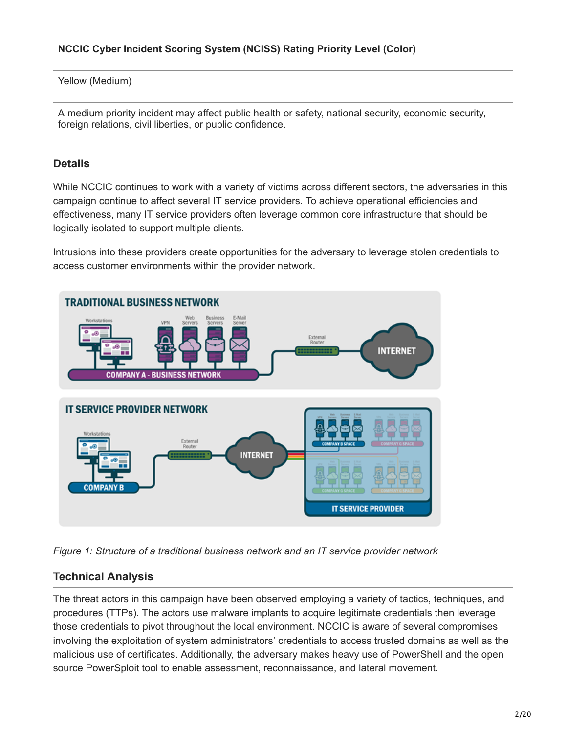Yellow (Medium)

A medium priority incident may affect public health or safety, national security, economic security, foreign relations, civil liberties, or public confidence.

# **Details**

While NCCIC continues to work with a variety of victims across different sectors, the adversaries in this campaign continue to affect several IT service providers. To achieve operational efficiencies and effectiveness, many IT service providers often leverage common core infrastructure that should be logically isolated to support multiple clients.

Intrusions into these providers create opportunities for the adversary to leverage stolen credentials to access customer environments within the provider network.



*Figure 1: Structure of a traditional business network and an IT service provider network*

# **Technical Analysis**

The threat actors in this campaign have been observed employing a variety of tactics, techniques, and procedures (TTPs). The actors use malware implants to acquire legitimate credentials then leverage those credentials to pivot throughout the local environment. NCCIC is aware of several compromises involving the exploitation of system administrators' credentials to access trusted domains as well as the malicious use of certificates. Additionally, the adversary makes heavy use of PowerShell and the open source PowerSploit tool to enable assessment, reconnaissance, and lateral movement.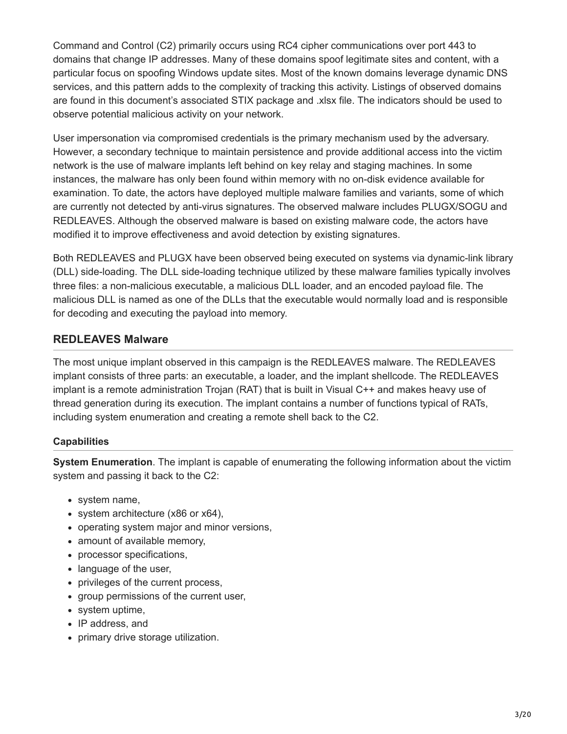Command and Control (C2) primarily occurs using RC4 cipher communications over port 443 to domains that change IP addresses. Many of these domains spoof legitimate sites and content, with a particular focus on spoofing Windows update sites. Most of the known domains leverage dynamic DNS services, and this pattern adds to the complexity of tracking this activity. Listings of observed domains are found in this document's associated STIX package and .xlsx file. The indicators should be used to observe potential malicious activity on your network.

User impersonation via compromised credentials is the primary mechanism used by the adversary. However, a secondary technique to maintain persistence and provide additional access into the victim network is the use of malware implants left behind on key relay and staging machines. In some instances, the malware has only been found within memory with no on-disk evidence available for examination. To date, the actors have deployed multiple malware families and variants, some of which are currently not detected by anti-virus signatures. The observed malware includes PLUGX/SOGU and REDLEAVES. Although the observed malware is based on existing malware code, the actors have modified it to improve effectiveness and avoid detection by existing signatures.

Both REDLEAVES and PLUGX have been observed being executed on systems via dynamic-link library (DLL) side-loading. The DLL side-loading technique utilized by these malware families typically involves three files: a non-malicious executable, a malicious DLL loader, and an encoded payload file. The malicious DLL is named as one of the DLLs that the executable would normally load and is responsible for decoding and executing the payload into memory.

# **REDLEAVES Malware**

The most unique implant observed in this campaign is the REDLEAVES malware. The REDLEAVES implant consists of three parts: an executable, a loader, and the implant shellcode. The REDLEAVES implant is a remote administration Trojan (RAT) that is built in Visual C++ and makes heavy use of thread generation during its execution. The implant contains a number of functions typical of RATs, including system enumeration and creating a remote shell back to the C2.

### **Capabilities**

**System Enumeration**. The implant is capable of enumerating the following information about the victim system and passing it back to the C2:

- system name,
- system architecture (x86 or x64),
- operating system major and minor versions,
- amount of available memory,
- processor specifications,
- language of the user,
- privileges of the current process,
- group permissions of the current user,
- system uptime,
- IP address, and
- primary drive storage utilization.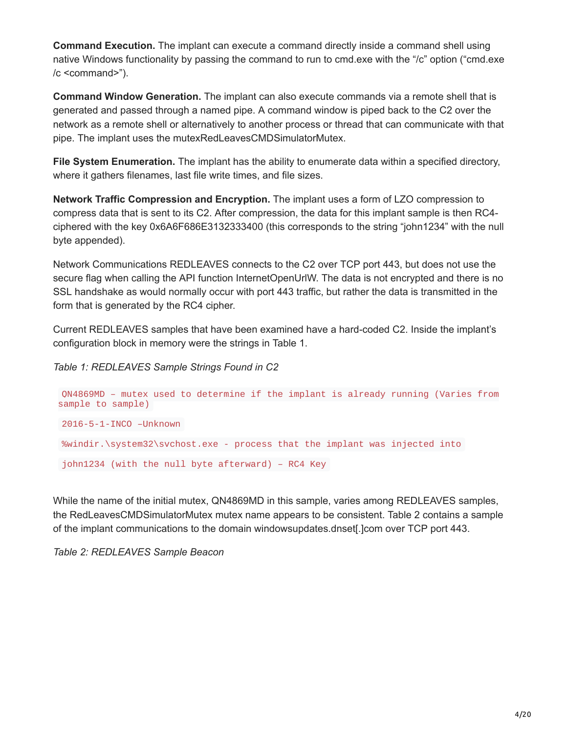**Command Execution.** The implant can execute a command directly inside a command shell using native Windows functionality by passing the command to run to cmd.exe with the "/c" option ("cmd.exe /c <command>").

**Command Window Generation.** The implant can also execute commands via a remote shell that is generated and passed through a named pipe. A command window is piped back to the C2 over the network as a remote shell or alternatively to another process or thread that can communicate with that pipe. The implant uses the mutexRedLeavesCMDSimulatorMutex.

**File System Enumeration.** The implant has the ability to enumerate data within a specified directory, where it gathers filenames, last file write times, and file sizes.

**Network Traffic Compression and Encryption.** The implant uses a form of LZO compression to compress data that is sent to its C2. After compression, the data for this implant sample is then RC4 ciphered with the key 0x6A6F686E3132333400 (this corresponds to the string "john1234" with the null byte appended).

Network Communications REDLEAVES connects to the C2 over TCP port 443, but does not use the secure flag when calling the API function InternetOpenUrlW. The data is not encrypted and there is no SSL handshake as would normally occur with port 443 traffic, but rather the data is transmitted in the form that is generated by the RC4 cipher.

Current REDLEAVES samples that have been examined have a hard-coded C2. Inside the implant's configuration block in memory were the strings in Table 1.

*Table 1: REDLEAVES Sample Strings Found in C2*

```
QN4869MD – mutex used to determine if the implant is already running (Varies from
sample to sample)
2016-5-1-INCO –Unknown
%windir.\system32\svchost.exe - process that the implant was injected into
john1234 (with the null byte afterward) – RC4 Key
```
While the name of the initial mutex, QN4869MD in this sample, varies among REDLEAVES samples, the RedLeavesCMDSimulatorMutex mutex name appears to be consistent. Table 2 contains a sample of the implant communications to the domain windowsupdates.dnset[.]com over TCP port 443.

*Table 2: REDLEAVES Sample Beacon*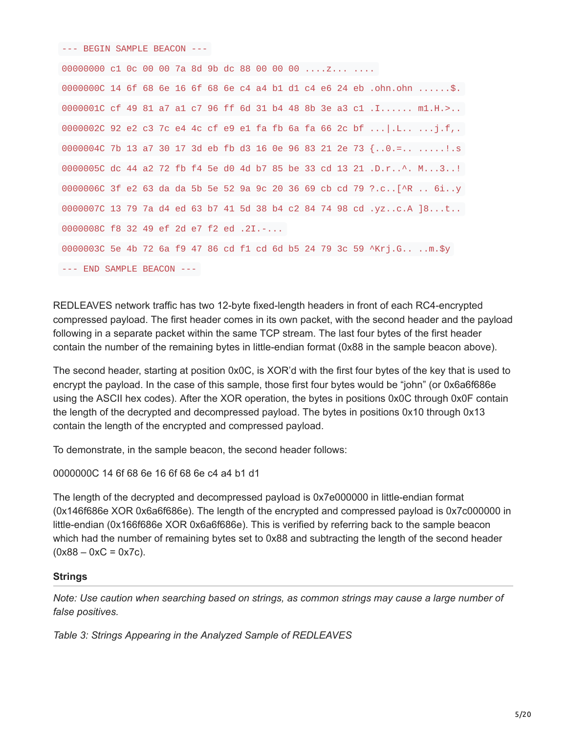--- BEGIN SAMPLE BEACON ---

```
00000000 c1 0c 00 00 7a 8d 9b dc 88 00 00 00 ....z... ....
0000000C 14 6f 68 6e 16 6f 68 6e c4 a4 b1 d1 c4 e6 24 eb .ohn.ohn ......$.
0000001C cf 49 81 a7 a1 c7 96 ff 6d 31 b4 48 8b 3e a3 c1 .I...... m1.H.>..
0000002C 92 e2 c3 7c e4 4c cf e9 e1 fa fb 6a fa 66 2c bf ...|.L.. ...j.f,.
0000004C 7b 13 a7 30 17 3d eb fb d3 16 0e 96 83 21 2e 73 {..0.=.. .....!.s
0000005C dc 44 a2 72 fb f4 5e d0 4d b7 85 be 33 cd 13 21 .D.r..^. M...3..!
0000006C 3f e2 63 da da 5b 5e 52 9a 9c 20 36 69 cb cd 79 ?.c..[^R .. 6i..y
0000007C 13 79 7a d4 ed 63 b7 41 5d 38 b4 c2 84 74 98 cd .yz..c.A ]8...t..
0000008C f8 32 49 ef 2d e7 f2 ed .2I.-...
0000003C 5e 4b 72 6a f9 47 86 cd f1 cd 6d b5 24 79 3c 59 ^Krj.G.. ..m.$y
--- END SAMPLE BEACON ---
```
REDLEAVES network traffic has two 12-byte fixed-length headers in front of each RC4-encrypted compressed payload. The first header comes in its own packet, with the second header and the payload following in a separate packet within the same TCP stream. The last four bytes of the first header contain the number of the remaining bytes in little-endian format (0x88 in the sample beacon above).

The second header, starting at position 0x0C, is XOR'd with the first four bytes of the key that is used to encrypt the payload. In the case of this sample, those first four bytes would be "john" (or 0x6a6f686e using the ASCII hex codes). After the XOR operation, the bytes in positions 0x0C through 0x0F contain the length of the decrypted and decompressed payload. The bytes in positions 0x10 through 0x13 contain the length of the encrypted and compressed payload.

To demonstrate, in the sample beacon, the second header follows:

0000000C 14 6f 68 6e 16 6f 68 6e c4 a4 b1 d1

The length of the decrypted and decompressed payload is 0x7e000000 in little-endian format (0x146f686e XOR 0x6a6f686e). The length of the encrypted and compressed payload is 0x7c000000 in little-endian (0x166f686e XOR 0x6a6f686e). This is verified by referring back to the sample beacon which had the number of remaining bytes set to 0x88 and subtracting the length of the second header  $(0x88 - 0xC = 0x7c)$ .

#### **Strings**

*Note: Use caution when searching based on strings, as common strings may cause a large number of false positives.*

*Table 3: Strings Appearing in the Analyzed Sample of REDLEAVES*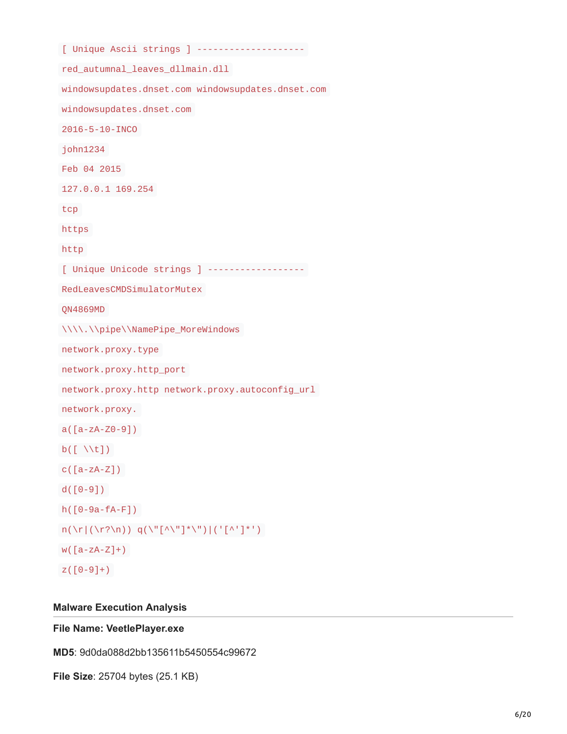[ Unique Ascii strings ] ------------------- red\_autumnal\_leaves\_dllmain.dll windowsupdates.dnset.com windowsupdates.dnset.com windowsupdates.dnset.com 2016-5-10-INCO john1234 Feb 04 2015 127.0.0.1 169.254 tcp https http [ Unique Unicode strings ] ------------------ RedLeavesCMDSimulatorMutex QN4869MD \\\\.\\pipe\\NamePipe\_MoreWindows network.proxy.type network.proxy.http\_port network.proxy.http network.proxy.autoconfig\_url network.proxy.  $a([a-zA-Z0-9])$  $b([ \forall t])$  $c([a-zA-Z])$ d([0-9]) h([0-9a-fA-F])  $n(\lceil\frac{\gamma}{\gamma}\rceil)(\lceil\frac{\gamma}{\gamma}\rceil) q(\lceil\frac{\gamma}{\gamma}\rceil^*)\lceil\frac{\gamma}{\gamma}\rceil)$  $W([a-zA-Z]+)$  $Z([0-9]+)$ 

#### **Malware Execution Analysis**

### **File Name: VeetlePlayer.exe**

**MD5**: 9d0da088d2bb135611b5450554c99672

**File Size**: 25704 bytes (25.1 KB)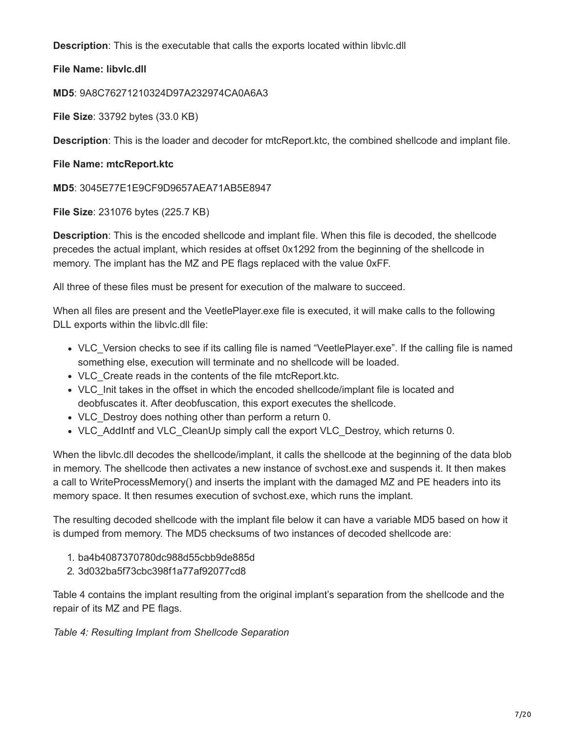**Description**: This is the executable that calls the exports located within libvlc.dll

**File Name: libvlc.dll**

**MD5**: 9A8C76271210324D97A232974CA0A6A3

**File Size**: 33792 bytes (33.0 KB)

**Description**: This is the loader and decoder for mtcReport.ktc, the combined shellcode and implant file.

# **File Name: mtcReport.ktc**

**MD5**: 3045E77E1E9CF9D9657AEA71AB5E8947

**File Size**: 231076 bytes (225.7 KB)

**Description**: This is the encoded shellcode and implant file. When this file is decoded, the shellcode precedes the actual implant, which resides at offset 0x1292 from the beginning of the shellcode in memory. The implant has the MZ and PE flags replaced with the value 0xFF.

All three of these files must be present for execution of the malware to succeed.

When all files are present and the VeetlePlayer.exe file is executed, it will make calls to the following DLL exports within the libvlc.dll file:

- VLC Version checks to see if its calling file is named "VeetlePlayer.exe". If the calling file is named something else, execution will terminate and no shellcode will be loaded.
- VLC Create reads in the contents of the file mtcReport.ktc.
- VLC Init takes in the offset in which the encoded shellcode/implant file is located and deobfuscates it. After deobfuscation, this export executes the shellcode.
- VLC Destroy does nothing other than perform a return 0.
- VLC AddIntf and VLC CleanUp simply call the export VLC Destroy, which returns 0.

When the libvlc.dll decodes the shellcode/implant, it calls the shellcode at the beginning of the data blob in memory. The shellcode then activates a new instance of svchost.exe and suspends it. It then makes a call to WriteProcessMemory() and inserts the implant with the damaged MZ and PE headers into its memory space. It then resumes execution of svchost.exe, which runs the implant.

The resulting decoded shellcode with the implant file below it can have a variable MD5 based on how it is dumped from memory. The MD5 checksums of two instances of decoded shellcode are:

- 1. ba4b4087370780dc988d55cbb9de885d
- 2. 3d032ba5f73cbc398f1a77af92077cd8

Table 4 contains the implant resulting from the original implant's separation from the shellcode and the repair of its MZ and PE flags.

*Table 4: Resulting Implant from Shellcode Separation*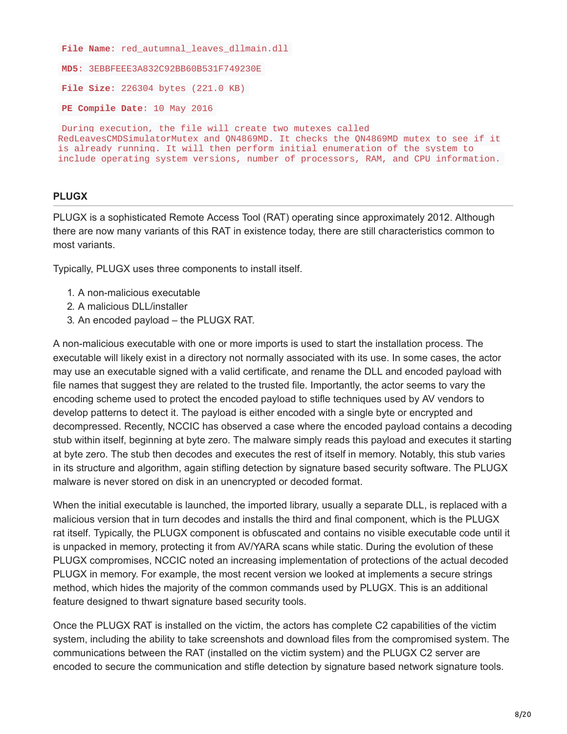```
File Name: red_autumnal_leaves_dllmain.dll
```

```
MD5: 3EBBFEEE3A832C92BB60B531F749230E
```
**File Size**: 226304 bytes (221.0 KB)

**PE Compile Date**: 10 May 2016

During execution, the file will create two mutexes called RedLeavesCMDSimulatorMutex and QN4869MD. It checks the QN4869MD mutex to see if it is already running. It will then perform initial enumeration of the system to include operating system versions, number of processors, RAM, and CPU information.

### **PLUGX**

PLUGX is a sophisticated Remote Access Tool (RAT) operating since approximately 2012. Although there are now many variants of this RAT in existence today, there are still characteristics common to most variants.

Typically, PLUGX uses three components to install itself.

- 1. A non-malicious executable
- 2. A malicious DLL/installer
- 3. An encoded payload the PLUGX RAT.

A non-malicious executable with one or more imports is used to start the installation process. The executable will likely exist in a directory not normally associated with its use. In some cases, the actor may use an executable signed with a valid certificate, and rename the DLL and encoded payload with file names that suggest they are related to the trusted file. Importantly, the actor seems to vary the encoding scheme used to protect the encoded payload to stifle techniques used by AV vendors to develop patterns to detect it. The payload is either encoded with a single byte or encrypted and decompressed. Recently, NCCIC has observed a case where the encoded payload contains a decoding stub within itself, beginning at byte zero. The malware simply reads this payload and executes it starting at byte zero. The stub then decodes and executes the rest of itself in memory. Notably, this stub varies in its structure and algorithm, again stifling detection by signature based security software. The PLUGX malware is never stored on disk in an unencrypted or decoded format.

When the initial executable is launched, the imported library, usually a separate DLL, is replaced with a malicious version that in turn decodes and installs the third and final component, which is the PLUGX rat itself. Typically, the PLUGX component is obfuscated and contains no visible executable code until it is unpacked in memory, protecting it from AV/YARA scans while static. During the evolution of these PLUGX compromises, NCCIC noted an increasing implementation of protections of the actual decoded PLUGX in memory. For example, the most recent version we looked at implements a secure strings method, which hides the majority of the common commands used by PLUGX. This is an additional feature designed to thwart signature based security tools.

Once the PLUGX RAT is installed on the victim, the actors has complete C2 capabilities of the victim system, including the ability to take screenshots and download files from the compromised system. The communications between the RAT (installed on the victim system) and the PLUGX C2 server are encoded to secure the communication and stifle detection by signature based network signature tools.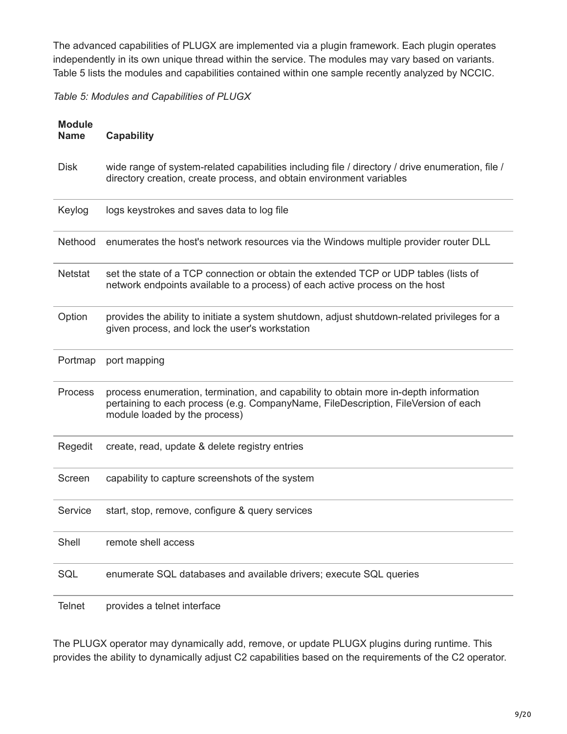The advanced capabilities of PLUGX are implemented via a plugin framework. Each plugin operates independently in its own unique thread within the service. The modules may vary based on variants. Table 5 lists the modules and capabilities contained within one sample recently analyzed by NCCIC.

*Table 5: Modules and Capabilities of PLUGX*

| <b>Module</b><br><b>Name</b> | <b>Capability</b>                                                                                                                                                                                           |
|------------------------------|-------------------------------------------------------------------------------------------------------------------------------------------------------------------------------------------------------------|
| <b>Disk</b>                  | wide range of system-related capabilities including file / directory / drive enumeration, file /<br>directory creation, create process, and obtain environment variables                                    |
| Keylog                       | logs keystrokes and saves data to log file                                                                                                                                                                  |
| Nethood                      | enumerates the host's network resources via the Windows multiple provider router DLL                                                                                                                        |
| <b>Netstat</b>               | set the state of a TCP connection or obtain the extended TCP or UDP tables (lists of<br>network endpoints available to a process) of each active process on the host                                        |
| Option                       | provides the ability to initiate a system shutdown, adjust shutdown-related privileges for a<br>given process, and lock the user's workstation                                                              |
| Portmap                      | port mapping                                                                                                                                                                                                |
| <b>Process</b>               | process enumeration, termination, and capability to obtain more in-depth information<br>pertaining to each process (e.g. CompanyName, FileDescription, FileVersion of each<br>module loaded by the process) |
| Regedit                      | create, read, update & delete registry entries                                                                                                                                                              |
| Screen                       | capability to capture screenshots of the system                                                                                                                                                             |
| Service                      | start, stop, remove, configure & query services                                                                                                                                                             |
| Shell                        | remote shell access                                                                                                                                                                                         |
| SQL                          | enumerate SQL databases and available drivers; execute SQL queries                                                                                                                                          |
| <b>Telnet</b>                | provides a telnet interface                                                                                                                                                                                 |

The PLUGX operator may dynamically add, remove, or update PLUGX plugins during runtime. This provides the ability to dynamically adjust C2 capabilities based on the requirements of the C2 operator.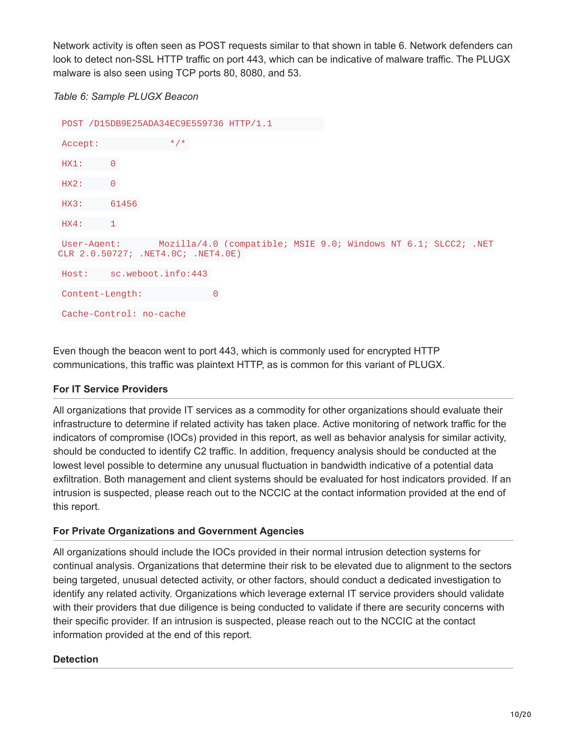Network activity is often seen as POST requests similar to that shown in table 6. Network defenders can look to detect non-SSL HTTP traffic on port 443, which can be indicative of malware traffic. The PLUGX malware is also seen using TCP ports 80, 8080, and 53.

```
Table 6: Sample PLUGX Beacon
```

```
POST /D15DB9E25ADA34EC9E559736 HTTP/1.1
Accept:
HX1: 0
HX2: 0
HX3: 61456
HX4: 1
User-Agent: Mozilla/4.0 (compatible; MSIE 9.0; Windows NT 6.1; SLCC2; .NET
CLR 2.0.50727; .NET4.0C; .NET4.0E)
Host: sc.weboot.info:443
Content-Length: 0
Cache-Control: no-cache
```
Even though the beacon went to port 443, which is commonly used for encrypted HTTP communications, this traffic was plaintext HTTP, as is common for this variant of PLUGX.

# **For IT Service Providers**

All organizations that provide IT services as a commodity for other organizations should evaluate their infrastructure to determine if related activity has taken place. Active monitoring of network traffic for the indicators of compromise (IOCs) provided in this report, as well as behavior analysis for similar activity, should be conducted to identify C2 traffic. In addition, frequency analysis should be conducted at the lowest level possible to determine any unusual fluctuation in bandwidth indicative of a potential data exfiltration. Both management and client systems should be evaluated for host indicators provided. If an intrusion is suspected, please reach out to the NCCIC at the contact information provided at the end of this report.

# **For Private Organizations and Government Agencies**

All organizations should include the IOCs provided in their normal intrusion detection systems for continual analysis. Organizations that determine their risk to be elevated due to alignment to the sectors being targeted, unusual detected activity, or other factors, should conduct a dedicated investigation to identify any related activity. Organizations which leverage external IT service providers should validate with their providers that due diligence is being conducted to validate if there are security concerns with their specific provider. If an intrusion is suspected, please reach out to the NCCIC at the contact information provided at the end of this report.

# **Detection**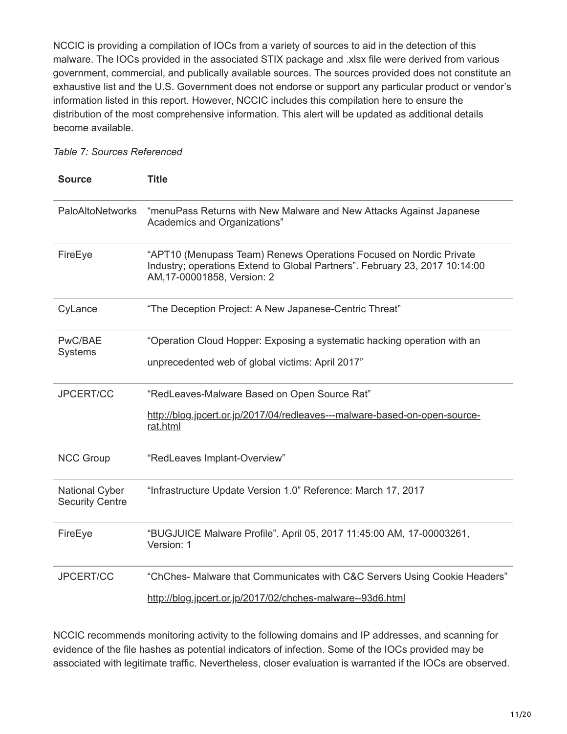NCCIC is providing a compilation of IOCs from a variety of sources to aid in the detection of this malware. The IOCs provided in the associated STIX package and .xlsx file were derived from various government, commercial, and publically available sources. The sources provided does not constitute an exhaustive list and the U.S. Government does not endorse or support any particular product or vendor's information listed in this report. However, NCCIC includes this compilation here to ensure the distribution of the most comprehensive information. This alert will be updated as additional details become available.

### *Table 7: Sources Referenced*

| <b>Source</b>                                   | <b>Title</b>                                                                                                                                                                     |
|-------------------------------------------------|----------------------------------------------------------------------------------------------------------------------------------------------------------------------------------|
| <b>PaloAltoNetworks</b>                         | "menuPass Returns with New Malware and New Attacks Against Japanese<br>Academics and Organizations"                                                                              |
| FireEye                                         | "APT10 (Menupass Team) Renews Operations Focused on Nordic Private<br>Industry; operations Extend to Global Partners". February 23, 2017 10:14:00<br>AM, 17-00001858, Version: 2 |
| CyLance                                         | "The Deception Project: A New Japanese-Centric Threat"                                                                                                                           |
| PwC/BAE<br>Systems                              | "Operation Cloud Hopper: Exposing a systematic hacking operation with an                                                                                                         |
|                                                 | unprecedented web of global victims: April 2017"                                                                                                                                 |
| JPCERT/CC                                       | "RedLeaves-Malware Based on Open Source Rat"                                                                                                                                     |
|                                                 | http://blog.jpcert.or.jp/2017/04/redleaves---malware-based-on-open-source-<br>rat.html                                                                                           |
| <b>NCC Group</b>                                | "RedLeaves Implant-Overview"                                                                                                                                                     |
| <b>National Cyber</b><br><b>Security Centre</b> | "Infrastructure Update Version 1.0" Reference: March 17, 2017                                                                                                                    |
| FireEye                                         | "BUGJUICE Malware Profile". April 05, 2017 11:45:00 AM, 17-00003261,<br>Version: 1                                                                                               |
| JPCERT/CC                                       | "ChChes- Malware that Communicates with C&C Servers Using Cookie Headers"                                                                                                        |
|                                                 | http://blog.jpcert.or.jp/2017/02/chches-malware--93d6.html                                                                                                                       |

NCCIC recommends monitoring activity to the following domains and IP addresses, and scanning for evidence of the file hashes as potential indicators of infection. Some of the IOCs provided may be associated with legitimate traffic. Nevertheless, closer evaluation is warranted if the IOCs are observed.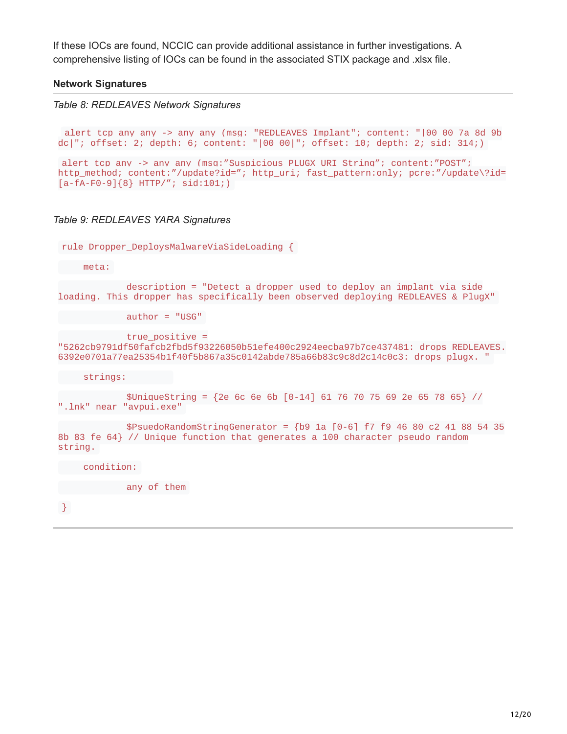If these IOCs are found, NCCIC can provide additional assistance in further investigations. A comprehensive listing of IOCs can be found in the associated STIX package and .xlsx file.

#### **Network Signatures**

```
Table 8: REDLEAVES Network Signatures
```

```
alert tcp any any -> any any (msg: "REDLEAVES Implant"; content: "|00 00 7a 8d 9b
dc|"; offset: 2; depth: 6; content: "|00 00|"; offset: 10; depth: 2; sid: 314;)
alert tcp any -> any any (msq:"Suspicious PLUGX URI String"; content:"POST";
http_method; content:"/update?id="; http_uri; fast_pattern:only; pcre:"/update\?id=
```
# *Table 9: REDLEAVES YARA Signatures*

 $[a-fA-F0-9]{8}$  HTTP/"; sid:101;)

rule Dropper DeploysMalwareViaSideLoading {

meta:

description = "Detect a dropper used to deploy an implant via side loading. This dropper has specifically been observed deploying REDLEAVES & PlugX"

 $author = "USG"$ 

true\_positive =

"5262cb9791df50fafcb2fbd5f93226050b51efe400c2924eecba97b7ce437481: drops REDLEAVES. 6392e0701a77ea25354b1f40f5b867a35c0142abde785a66b83c9c8d2c14c0c3: drops plugx. "

strings:

 $$Uniquesting = {2e 6c 6e 6b 6-14} 61 76 70 75 69 2e 65 78 65}$  // ".lnk" near "avpui.exe"

\$PsuedoRandomStringGenerator = {b9 1a [0-6] f7 f9 46 80 c2 41 88 54 35 8b 83 fe 64} // Unique function that generates a 100 character pseudo random string.

condition:

any of them

}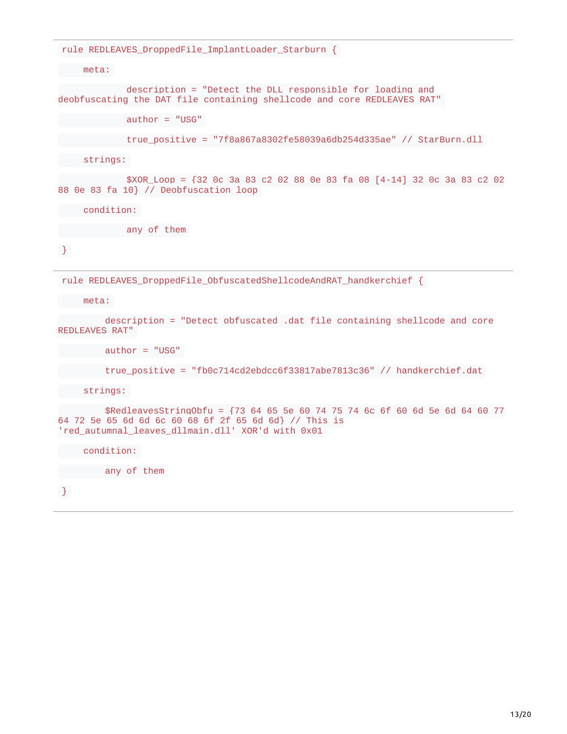rule REDLEAVES\_DroppedFile\_ImplantLoader\_Starburn {

meta:

description = "Detect the DLL responsible for loading and deobfuscating the DAT file containing shellcode and core REDLEAVES RAT"

author = "USG"

```
true_positive = "7f8a867a8302fe58039a6db254d335ae" // StarBurn.dll
```
strings:

\$XOR\_Loop = {32 0c 3a 83 c2 02 88 0e 83 fa 08 [4-14] 32 0c 3a 83 c2 02 88 0e 83 fa 10} // Deobfuscation loop

condition:

any of them

}

rule REDLEAVES\_DroppedFile\_ObfuscatedShellcodeAndRAT\_handkerchief {

meta:

description = "Detect obfuscated .dat file containing shellcode and core REDLEAVES RAT"

author = "USG"

```
true_positive = "fb0c714cd2ebdcc6f33817abe7813c36" // handkerchief.dat
```
strings:

\$RedleavesStringObfu = {73 64 65 5e 60 74 75 74 6c 6f 60 6d 5e 6d 64 60 77 64 72 5e 65 6d 6d 6c 60 68 6f 2f 65 6d 6d} // This is 'red\_autumnal\_leaves\_dllmain.dll' XOR'd with 0x01

condition:

any of them

}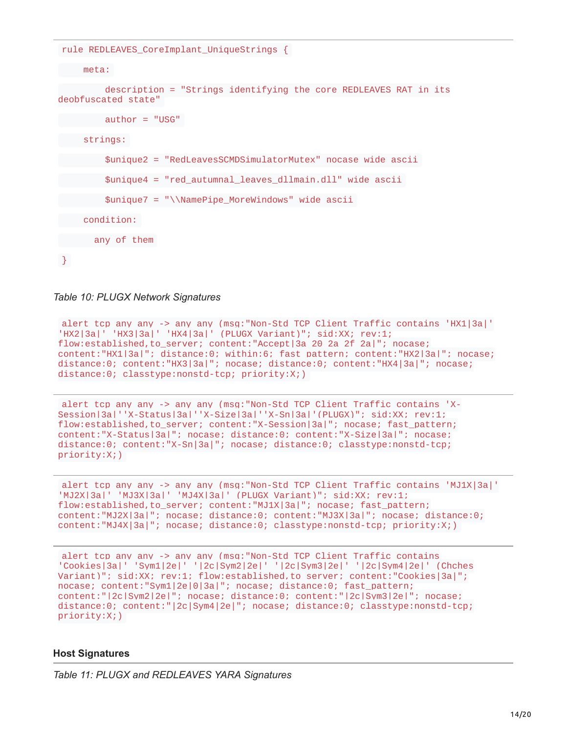```
rule REDLEAVES_CoreImplant_UniqueStrings {
  meta:
        description = "Strings identifying the core REDLEAVES RAT in its
deobfuscated state"
        author = "USG"strings:
        $unique2 = "RedLeavesSCMDSimulatorMutex" nocase wide ascii
        $unique4 = "red_autumnal_leaves_dllmain.dll" wide ascii
        $unique7 = "\\NamePipe_MoreWindows" wide ascii
    condition:
      any of them
```
}

*Table 10: PLUGX Network Signatures*

alert tcp any any -> any any (msg:"Non-Std TCP Client Traffic contains 'HX1|3a|' 'HX2|3a|' 'HX3|3a|' 'HX4|3a|' (PLUGX Variant)"; sid:XX; rev:1; flow:established,to server; content:"Accept|3a 20 2a 2f 2a|"; nocase; content:"HX1|3a|"; distance:0; within:6; fast pattern; content:"HX2|3a|"; nocase; distance:0; content:"HX3|3a|"; nocase; distance:0; content:"HX4|3a|"; nocase; distance:0; classtype:nonstd-tcp; priority:X;)

alert tcp any any -> any any (msg:"Non-Std TCP Client Traffic contains 'X-Session|3a|''X-Status|3a|''X-Size|3a|''X-Sn|3a|'(PLUGX)"; sid:XX; rev:1; flow:established,to\_server; content:"X-Session|3a|"; nocase; fast\_pattern; content:"X-Status|3a|"; nocase; distance:0; content:"X-Size|3a|"; nocase; distance:0; content:"X-Sn|3a|"; nocase; distance:0; classtype:nonstd-tcp; priority:X;)

alert tcp any any -> any any (msg:"Non-Std TCP Client Traffic contains 'MJ1X|3a|' 'MJ2X|3a|' 'MJ3X|3a|' 'MJ4X|3a|' (PLUGX Variant)"; sid:XX; rev:1; flow:established,to\_server; content:"MJ1X|3a|"; nocase; fast\_pattern; content:"MJ2X|3a|"; nocase; distance:0; content:"MJ3X|3a|"; nocase; distance:0; content:"MJ4X|3a|"; nocase; distance:0; classtype:nonstd-tcp; priority:X;)

alert tcp any any -> any any (msg:"Non-Std TCP Client Traffic contains 'Cookies|3a|' 'Sym1|2e|' '|2c|Sym2|2e|' '|2c|Sym3|2e|' '|2c|Sym4|2e|' (Chches Variant)"; sid:XX; rev:1; flow:established.to server; content:"Cookies|3a|"; nocase; content:"Sym1|2e|0|3a|"; nocase; distance:0; fast\_pattern; content:"|2c|Sym2|2e|"; nocase; distance:0; content:"|2c|Sym3|2e|"; nocase; distance:0; content:"|2c|Sym4|2e|"; nocase; distance:0; classtype:nonstd-tcp; priority:X;)

#### **Host Signatures**

*Table 11: PLUGX and REDLEAVES YARA Signatures*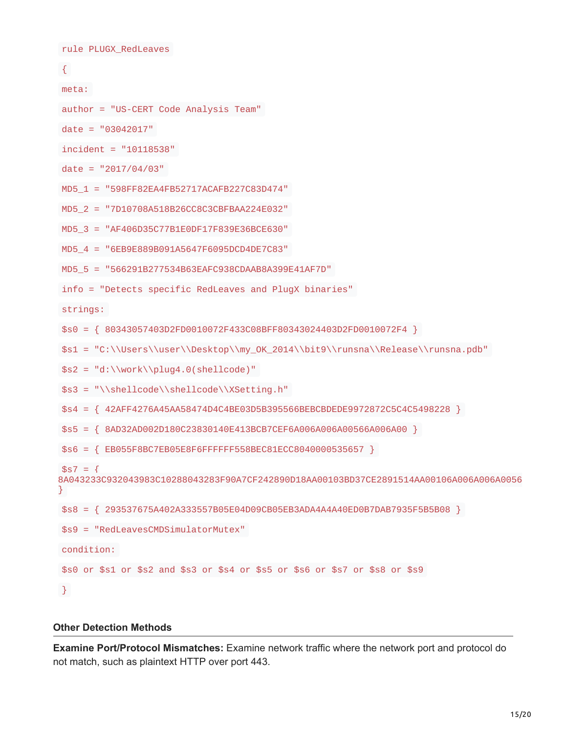```
rule PLUGX_RedLeaves
\{meta:
author = "US-CERT Code Analysis Team"
date = "03042017"
incident = "10118538"
date = "2017/04/03"
MD5_1 = "598FF82EA4FB52717ACAFB227C83D474"
MD5_2 = "7D10708A518B26CC8C3CBFBAA224E032"
MD5_3 = "AF406D35C77B1E0DF17F839E36BCE630"
MD5_4 = "6EB9E889B091A5647F6095DCD4DE7C83"
MD5_5 = "566291B277534B63EAFC938CDAAB8A399E41AF7D"
info = "Detects specific RedLeaves and PlugX binaries"
strings:
$s0 = { 80343057403D2FD0010072F433C08BFF80343024403D2FD0010072F4 }
$s1 = "C:\\Users\\user\\Desktop\\my_OK_2014\\bit9\\runsna\\Release\\runsna.pdb"
$s2 = "d:\\work\h\nlug4.0(shello)$s3 = "\\shellcode\\shellcode\\XSetting.h"
$s4 = { 42AFF4276A45AA58474D4C4BE03D5B395566BEBCBDEDE9972872C5C4C5498228 }
$s5 = { 8AD32AD002D180C23830140E413BCB7CEF6A006A006A00566A006A00 }
$s6 = { EB055F8BC7EB05E8F6FFFFFF558BEC81ECC8040000535657 }
$s7 = f8A043233C932043983C10288043283F90A7CF242890D18AA00103BD37CE2891514AA00106A006A006A0056
}
$s8 = { 293537675A402A333557B05E04D09CB05EB3ADA4A4A40ED0B7DAB7935F5B5B08 }
$s9 = "RedLeavesCMDSimulatorMutex"
condition:
$s0 or $s1 or $s2 and $s3 or $s4 or $s5 or $s6 or $s7 or $s8 or $s9
}
```
### **Other Detection Methods**

**Examine Port/Protocol Mismatches:** Examine network traffic where the network port and protocol do not match, such as plaintext HTTP over port 443.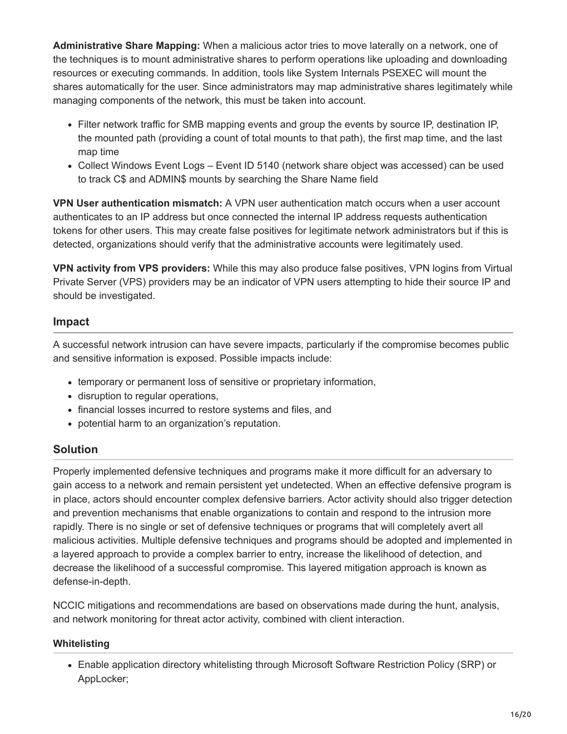**Administrative Share Mapping:** When a malicious actor tries to move laterally on a network, one of the techniques is to mount administrative shares to perform operations like uploading and downloading resources or executing commands. In addition, tools like System Internals PSEXEC will mount the shares automatically for the user. Since administrators may map administrative shares legitimately while managing components of the network, this must be taken into account.

- Filter network traffic for SMB mapping events and group the events by source IP, destination IP, the mounted path (providing a count of total mounts to that path), the first map time, and the last map time
- Collect Windows Event Logs Event ID 5140 (network share object was accessed) can be used to track C\$ and ADMIN\$ mounts by searching the Share Name field

**VPN User authentication mismatch:** A VPN user authentication match occurs when a user account authenticates to an IP address but once connected the internal IP address requests authentication tokens for other users. This may create false positives for legitimate network administrators but if this is detected, organizations should verify that the administrative accounts were legitimately used.

**VPN activity from VPS providers:** While this may also produce false positives, VPN logins from Virtual Private Server (VPS) providers may be an indicator of VPN users attempting to hide their source IP and should be investigated.

# **Impact**

A successful network intrusion can have severe impacts, particularly if the compromise becomes public and sensitive information is exposed. Possible impacts include:

- temporary or permanent loss of sensitive or proprietary information,
- disruption to regular operations,
- financial losses incurred to restore systems and files, and
- potential harm to an organization's reputation.

# **Solution**

Properly implemented defensive techniques and programs make it more difficult for an adversary to gain access to a network and remain persistent yet undetected. When an effective defensive program is in place, actors should encounter complex defensive barriers. Actor activity should also trigger detection and prevention mechanisms that enable organizations to contain and respond to the intrusion more rapidly. There is no single or set of defensive techniques or programs that will completely avert all malicious activities. Multiple defensive techniques and programs should be adopted and implemented in a layered approach to provide a complex barrier to entry, increase the likelihood of detection, and decrease the likelihood of a successful compromise. This layered mitigation approach is known as defense-in-depth.

NCCIC mitigations and recommendations are based on observations made during the hunt, analysis, and network monitoring for threat actor activity, combined with client interaction.

# **Whitelisting**

Enable application directory whitelisting through Microsoft Software Restriction Policy (SRP) or AppLocker;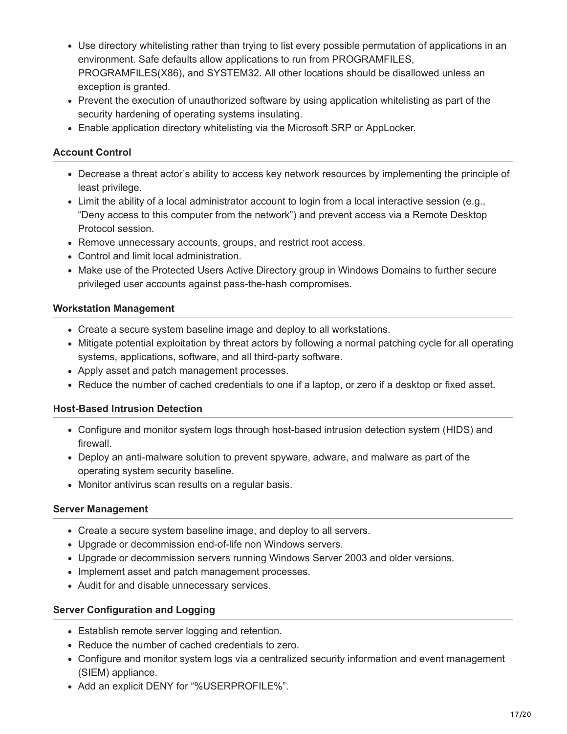- Use directory whitelisting rather than trying to list every possible permutation of applications in an environment. Safe defaults allow applications to run from PROGRAMFILES, PROGRAMFILES(X86), and SYSTEM32. All other locations should be disallowed unless an exception is granted.
- Prevent the execution of unauthorized software by using application whitelisting as part of the security hardening of operating systems insulating.
- Enable application directory whitelisting via the Microsoft SRP or AppLocker.

### **Account Control**

- Decrease a threat actor's ability to access key network resources by implementing the principle of least privilege.
- Limit the ability of a local administrator account to login from a local interactive session (e.g., "Deny access to this computer from the network") and prevent access via a Remote Desktop Protocol session.
- Remove unnecessary accounts, groups, and restrict root access.
- Control and limit local administration.
- Make use of the Protected Users Active Directory group in Windows Domains to further secure privileged user accounts against pass-the-hash compromises.

### **Workstation Management**

- Create a secure system baseline image and deploy to all workstations.
- Mitigate potential exploitation by threat actors by following a normal patching cycle for all operating systems, applications, software, and all third-party software.
- Apply asset and patch management processes.
- Reduce the number of cached credentials to one if a laptop, or zero if a desktop or fixed asset.

### **Host-Based Intrusion Detection**

- Configure and monitor system logs through host-based intrusion detection system (HIDS) and firewall.
- Deploy an anti-malware solution to prevent spyware, adware, and malware as part of the operating system security baseline.
- Monitor antivirus scan results on a regular basis.

### **Server Management**

- Create a secure system baseline image, and deploy to all servers.
- Upgrade or decommission end-of-life non Windows servers.
- Upgrade or decommission servers running Windows Server 2003 and older versions.
- Implement asset and patch management processes.
- Audit for and disable unnecessary services.

### **Server Configuration and Logging**

- Establish remote server logging and retention.
- Reduce the number of cached credentials to zero.
- Configure and monitor system logs via a centralized security information and event management (SIEM) appliance.
- Add an explicit DENY for "%USERPROFILE%".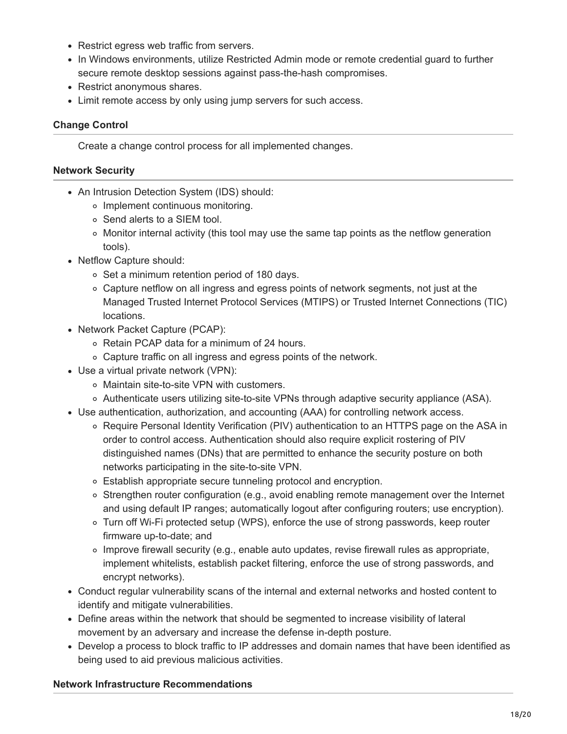- Restrict egress web traffic from servers.
- In Windows environments, utilize Restricted Admin mode or remote credential guard to further secure remote desktop sessions against pass-the-hash compromises.
- Restrict anonymous shares.
- Limit remote access by only using jump servers for such access.

### **Change Control**

Create a change control process for all implemented changes.

### **Network Security**

- An Intrusion Detection System (IDS) should:
	- o Implement continuous monitoring.
	- o Send alerts to a SIEM tool.
	- $\circ$  Monitor internal activity (this tool may use the same tap points as the netflow generation tools).
- Netflow Capture should:
	- Set a minimum retention period of 180 days.
	- $\circ$  Capture netflow on all ingress and egress points of network segments, not just at the Managed Trusted Internet Protocol Services (MTIPS) or Trusted Internet Connections (TIC) locations.
- Network Packet Capture (PCAP):
	- o Retain PCAP data for a minimum of 24 hours.
	- Capture traffic on all ingress and egress points of the network.
- Use a virtual private network (VPN):
	- Maintain site-to-site VPN with customers.
	- Authenticate users utilizing site-to-site VPNs through adaptive security appliance (ASA).
- Use authentication, authorization, and accounting (AAA) for controlling network access.
	- Require Personal Identity Verification (PIV) authentication to an HTTPS page on the ASA in order to control access. Authentication should also require explicit rostering of PIV distinguished names (DNs) that are permitted to enhance the security posture on both networks participating in the site-to-site VPN.
	- Establish appropriate secure tunneling protocol and encryption.
	- Strengthen router configuration (e.g., avoid enabling remote management over the Internet and using default IP ranges; automatically logout after configuring routers; use encryption).
	- Turn off Wi-Fi protected setup (WPS), enforce the use of strong passwords, keep router firmware up-to-date; and
	- $\circ$  Improve firewall security (e.g., enable auto updates, revise firewall rules as appropriate, implement whitelists, establish packet filtering, enforce the use of strong passwords, and encrypt networks).
- Conduct regular vulnerability scans of the internal and external networks and hosted content to identify and mitigate vulnerabilities.
- Define areas within the network that should be segmented to increase visibility of lateral movement by an adversary and increase the defense in-depth posture.
- Develop a process to block traffic to IP addresses and domain names that have been identified as being used to aid previous malicious activities.

### **Network Infrastructure Recommendations**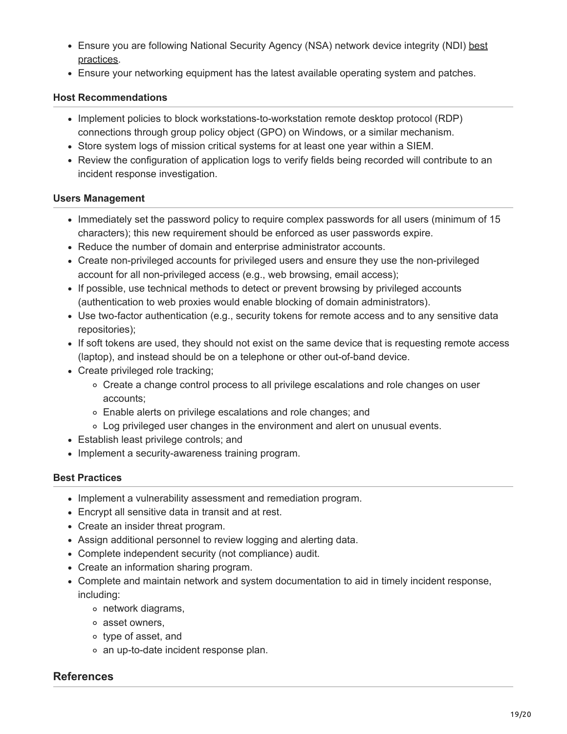- [Ensure you are following National Security Agency \(NSA\) network device integrity \(NDI\) best](https://www.iad.gov/iad/library/reports/network-device-integrity-ndi-methodology.cfm) practices.
- Ensure your networking equipment has the latest available operating system and patches.

### **Host Recommendations**

- Implement policies to block workstations-to-workstation remote desktop protocol (RDP) connections through group policy object (GPO) on Windows, or a similar mechanism.
- Store system logs of mission critical systems for at least one year within a SIEM.
- Review the configuration of application logs to verify fields being recorded will contribute to an incident response investigation.

# **Users Management**

- Immediately set the password policy to require complex passwords for all users (minimum of 15 characters); this new requirement should be enforced as user passwords expire.
- Reduce the number of domain and enterprise administrator accounts.
- Create non-privileged accounts for privileged users and ensure they use the non-privileged account for all non-privileged access (e.g., web browsing, email access);
- If possible, use technical methods to detect or prevent browsing by privileged accounts (authentication to web proxies would enable blocking of domain administrators).
- Use two-factor authentication (e.g., security tokens for remote access and to any sensitive data repositories);
- If soft tokens are used, they should not exist on the same device that is requesting remote access (laptop), and instead should be on a telephone or other out-of-band device.
- Create privileged role tracking;
	- $\circ$  Create a change control process to all privilege escalations and role changes on user accounts;
	- Enable alerts on privilege escalations and role changes; and
	- Log privileged user changes in the environment and alert on unusual events.
- Establish least privilege controls; and
- Implement a security-awareness training program.

### **Best Practices**

- Implement a vulnerability assessment and remediation program.
- Encrypt all sensitive data in transit and at rest.
- Create an insider threat program.
- Assign additional personnel to review logging and alerting data.
- Complete independent security (not compliance) audit.
- Create an information sharing program.
- Complete and maintain network and system documentation to aid in timely incident response, including:
	- network diagrams,
	- asset owners,
	- type of asset, and
	- an up-to-date incident response plan.

# **References**